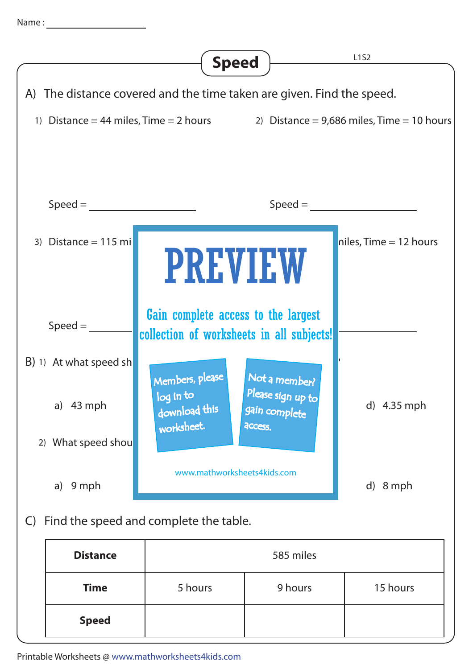



**Speed**